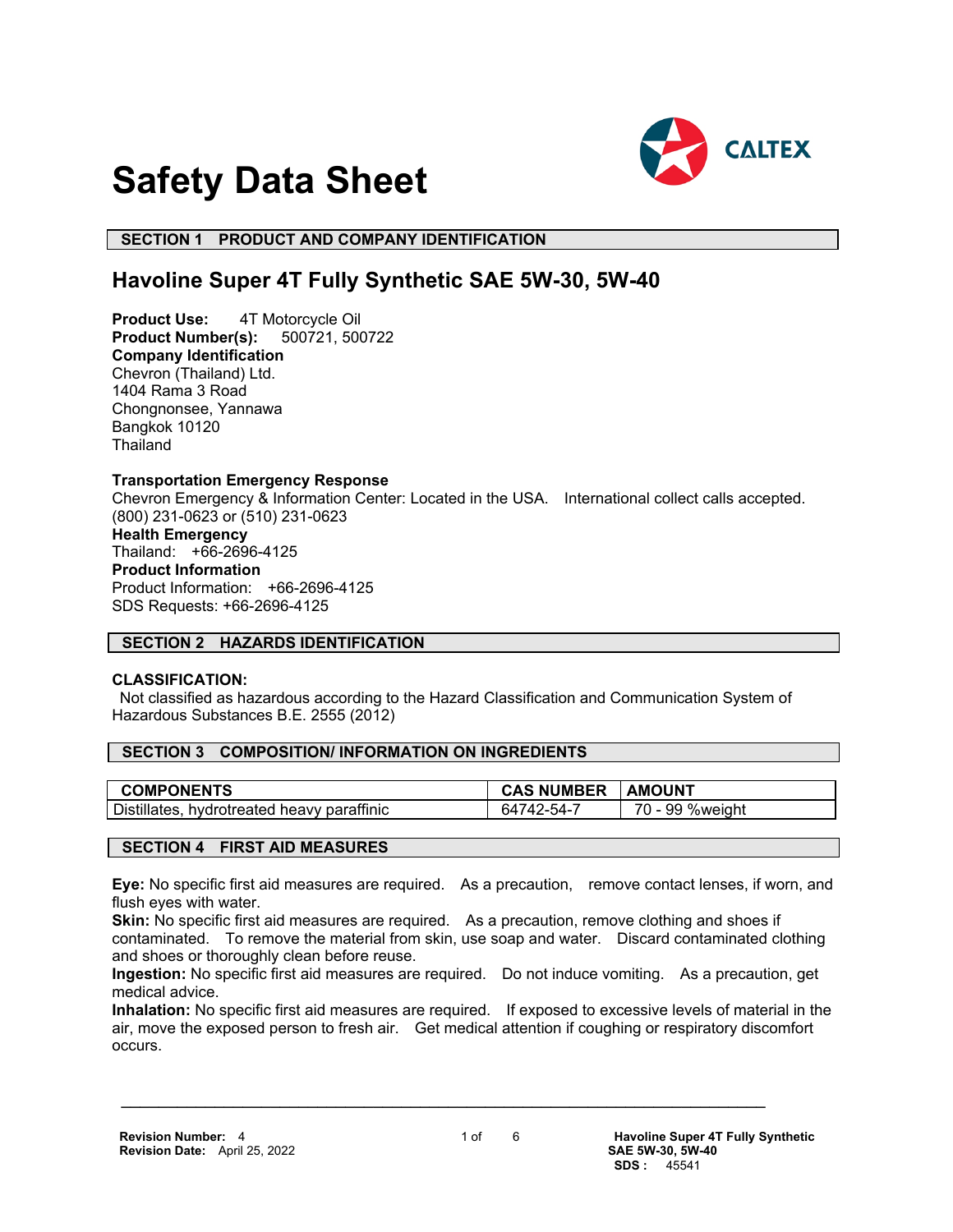

# **Safety Data Sheet**

# **SECTION 1 PRODUCT AND COMPANY IDENTIFICATION**

# **Havoline Super 4T Fully Synthetic SAE 5W-30, 5W-40**

**Product Use:** 4T Motorcycle Oil **Product Number(s):** 500721, 500722 **Company Identification** Chevron (Thailand) Ltd. 1404 Rama 3 Road Chongnonsee, Yannawa Bangkok 10120 **Thailand** 

#### **Transportation Emergency Response**

Chevron Emergency & Information Center: Located in the USA. International collect calls accepted. (800) 231-0623 or (510) 231-0623

**Health Emergency** Thailand: +66-2696-4125 **Product Information** Product Information: +66-2696-4125 SDS Requests: +66-2696-4125

# **SECTION 2 HAZARDS IDENTIFICATION**

# **CLASSIFICATION:**

 Not classified as hazardous according to the Hazard Classification and Communication System of Hazardous Substances B.E. 2555 (2012)

# **SECTION 3 COMPOSITION/ INFORMATION ON INGREDIENTS**

| <b>COMPONENTS</b>                          | <b>CAS NUMBER</b> | <b>AMOUNT</b> |
|--------------------------------------------|-------------------|---------------|
| Distillates, hydrotreated heavy paraffinic | 64742-54-7        | 99 %weight    |

# **SECTION 4 FIRST AID MEASURES**

**Eye:** No specific first aid measures are required. As a precaution, remove contact lenses, if worn, and flush eyes with water.

**Skin:** No specific first aid measures are required. As a precaution, remove clothing and shoes if contaminated. To remove the material from skin, use soap and water. Discard contaminated clothing and shoes or thoroughly clean before reuse.

**Ingestion:** No specific first aid measures are required. Do not induce vomiting. As a precaution, get medical advice.

**Inhalation:** No specific first aid measures are required. If exposed to excessive levels of material in the air, move the exposed person to fresh air. Get medical attention if coughing or respiratory discomfort occurs.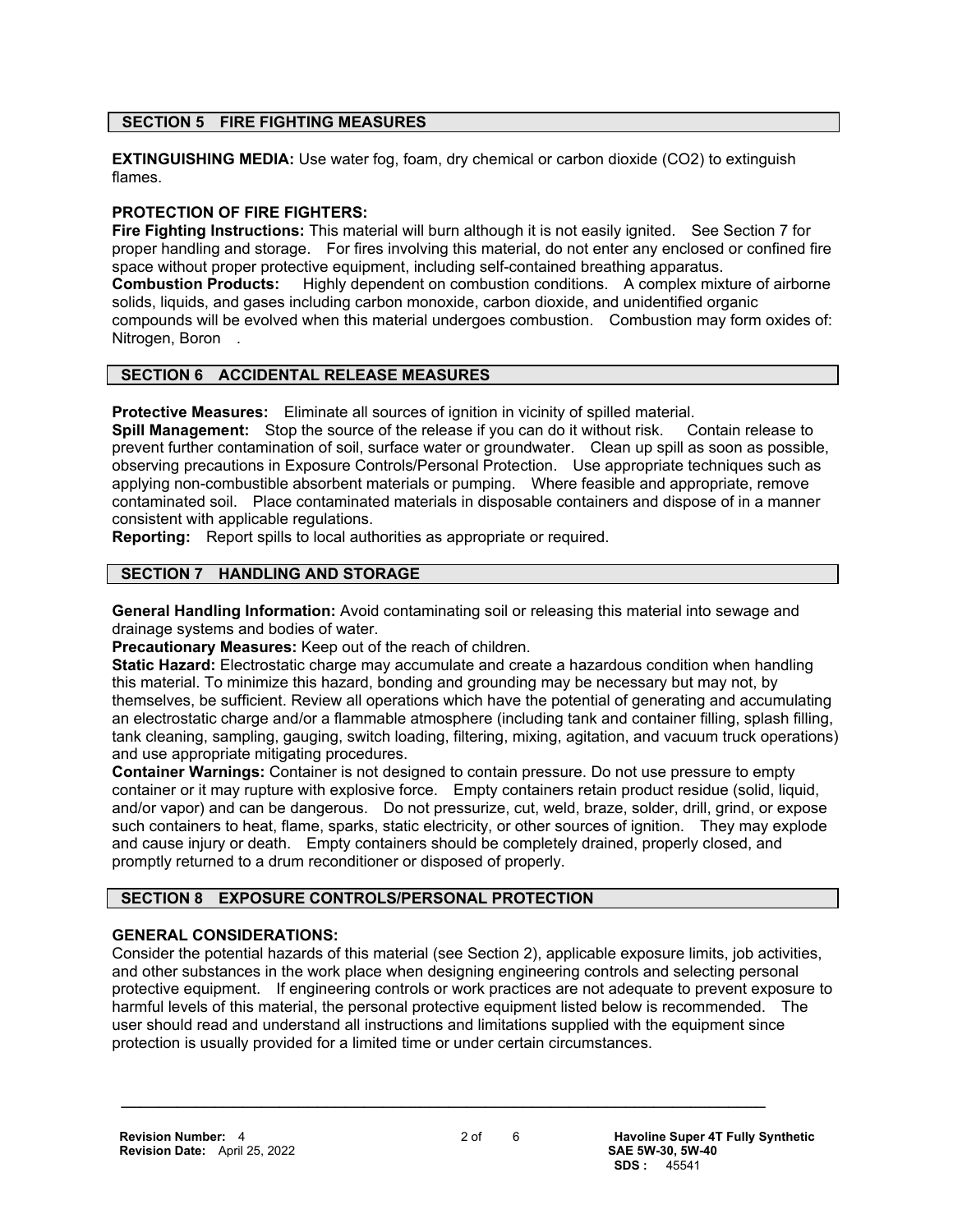# **SECTION 5 FIRE FIGHTING MEASURES**

**EXTINGUISHING MEDIA:** Use water fog, foam, dry chemical or carbon dioxide (CO2) to extinguish flames.

# **PROTECTION OF FIRE FIGHTERS:**

**Fire Fighting Instructions:** This material will burn although it is not easily ignited. See Section 7 for proper handling and storage. For fires involving this material, do not enter any enclosed or confined fire space without proper protective equipment, including self-contained breathing apparatus. **Combustion Products:** Highly dependent on combustion conditions. A complex mixture of airborne solids, liquids, and gases including carbon monoxide, carbon dioxide, and unidentified organic compounds will be evolved when this material undergoes combustion. Combustion may form oxides of: Nitrogen, Boron.

# **SECTION 6 ACCIDENTAL RELEASE MEASURES**

**Protective Measures:** Eliminate all sources of ignition in vicinity of spilled material.

**Spill Management:** Stop the source of the release if you can do it without risk. Contain release to prevent further contamination of soil, surface water or groundwater. Clean up spill as soon as possible, observing precautions in Exposure Controls/Personal Protection. Use appropriate techniques such as applying non-combustible absorbent materials or pumping. Where feasible and appropriate, remove contaminated soil. Place contaminated materials in disposable containers and dispose of in a manner consistent with applicable regulations.

**Reporting:** Report spills to local authorities as appropriate or required.

# **SECTION 7 HANDLING AND STORAGE**

**General Handling Information:** Avoid contaminating soil or releasing this material into sewage and drainage systems and bodies of water.

**Precautionary Measures:** Keep out of the reach of children.

**Static Hazard:** Electrostatic charge may accumulate and create a hazardous condition when handling this material. To minimize this hazard, bonding and grounding may be necessary but may not, by themselves, be sufficient. Review all operations which have the potential of generating and accumulating an electrostatic charge and/or a flammable atmosphere (including tank and container filling, splash filling, tank cleaning, sampling, gauging, switch loading, filtering, mixing, agitation, and vacuum truck operations) and use appropriate mitigating procedures.

**Container Warnings:** Container is not designed to contain pressure. Do not use pressure to empty container or it may rupture with explosive force. Empty containers retain product residue (solid, liquid, and/or vapor) and can be dangerous. Do not pressurize, cut, weld, braze, solder, drill, grind, or expose such containers to heat, flame, sparks, static electricity, or other sources of ignition. They may explode and cause injury or death. Empty containers should be completely drained, properly closed, and promptly returned to a drum reconditioner or disposed of properly.

# **SECTION 8 EXPOSURE CONTROLS/PERSONAL PROTECTION**

# **GENERAL CONSIDERATIONS:**

Consider the potential hazards of this material (see Section 2), applicable exposure limits, job activities, and other substances in the work place when designing engineering controls and selecting personal protective equipment. If engineering controls or work practices are not adequate to prevent exposure to harmful levels of this material, the personal protective equipment listed below is recommended. The user should read and understand all instructions and limitations supplied with the equipment since protection is usually provided for a limited time or under certain circumstances.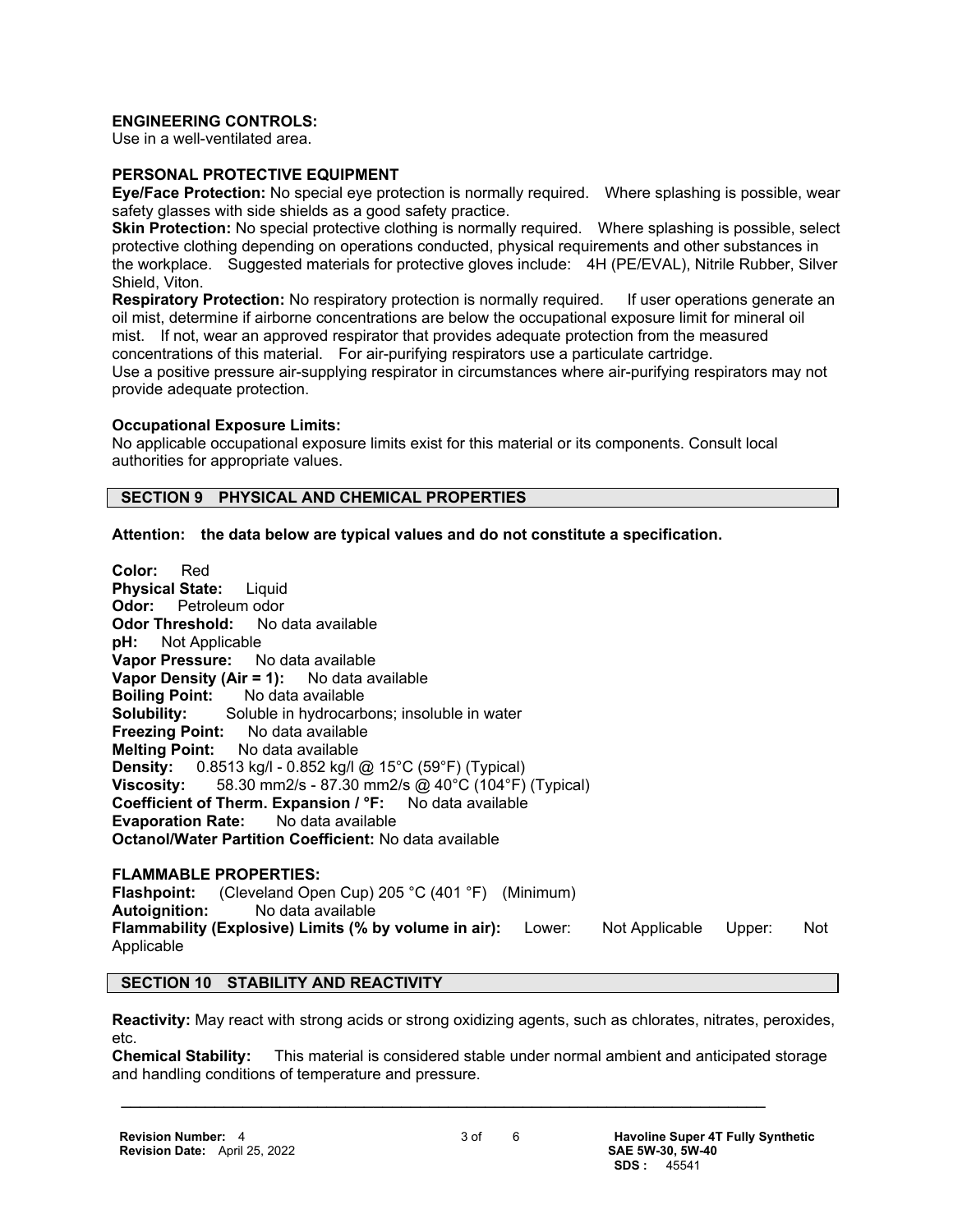#### **ENGINEERING CONTROLS:**

Use in a well-ventilated area.

#### **PERSONAL PROTECTIVE EQUIPMENT**

**Eye/Face Protection:** No special eye protection is normally required. Where splashing is possible, wear safety glasses with side shields as a good safety practice.

**Skin Protection:** No special protective clothing is normally required. Where splashing is possible, select protective clothing depending on operations conducted, physical requirements and other substances in the workplace. Suggested materials for protective gloves include: 4H (PE/EVAL), Nitrile Rubber, Silver Shield, Viton.

**Respiratory Protection:** No respiratory protection is normally required. If user operations generate an oil mist, determine if airborne concentrations are below the occupational exposure limit for mineral oil mist. If not, wear an approved respirator that provides adequate protection from the measured concentrations of this material. For air-purifying respirators use a particulate cartridge. Use a positive pressure air-supplying respirator in circumstances where air-purifying respirators may not provide adequate protection.

#### **Occupational Exposure Limits:**

No applicable occupational exposure limits exist for this material or its components. Consult local authorities for appropriate values.

#### **SECTION 9 PHYSICAL AND CHEMICAL PROPERTIES**

**Attention: the data below are typical values and do not constitute a specification.**

**Color:** Red **Physical State:** Liquid **Odor:** Petroleum odor **Odor Threshold:** No data available **pH:** Not Applicable **Not Applicable Vapor Pressure:** No data available **Vapor Density (Air = 1):** No data available **Boiling Point:** No data available **Solubility:** Soluble in hydrocarbons; insoluble in water **Freezing Point:** No data available **Melting Point:** No data available **Density:** 0.8513 kg/l - 0.852 kg/l @ 15°C (59°F) (Typical) **Viscosity:** 58.30 mm2/s - 87.30 mm2/s @ 40°C (104°F) (Typical) **Coefficient of Therm. Expansion / °F:** No data available **Evaporation Rate:** No data available **Octanol/Water Partition Coefficient:** No data available

# **FLAMMABLE PROPERTIES:**

**Flashpoint:** (Cleveland Open Cup) 205 °C (401 °F) (Minimum) **Autoignition:** No data available **Flammability (Explosive) Limits (% by volume in air):** Lower: Not Applicable Upper: Not Applicable

#### **SECTION 10 STABILITY AND REACTIVITY**

**Reactivity:** May react with strong acids or strong oxidizing agents, such as chlorates, nitrates, peroxides, etc.

**Chemical Stability:** This material is considered stable under normal ambient and anticipated storage and handling conditions of temperature and pressure.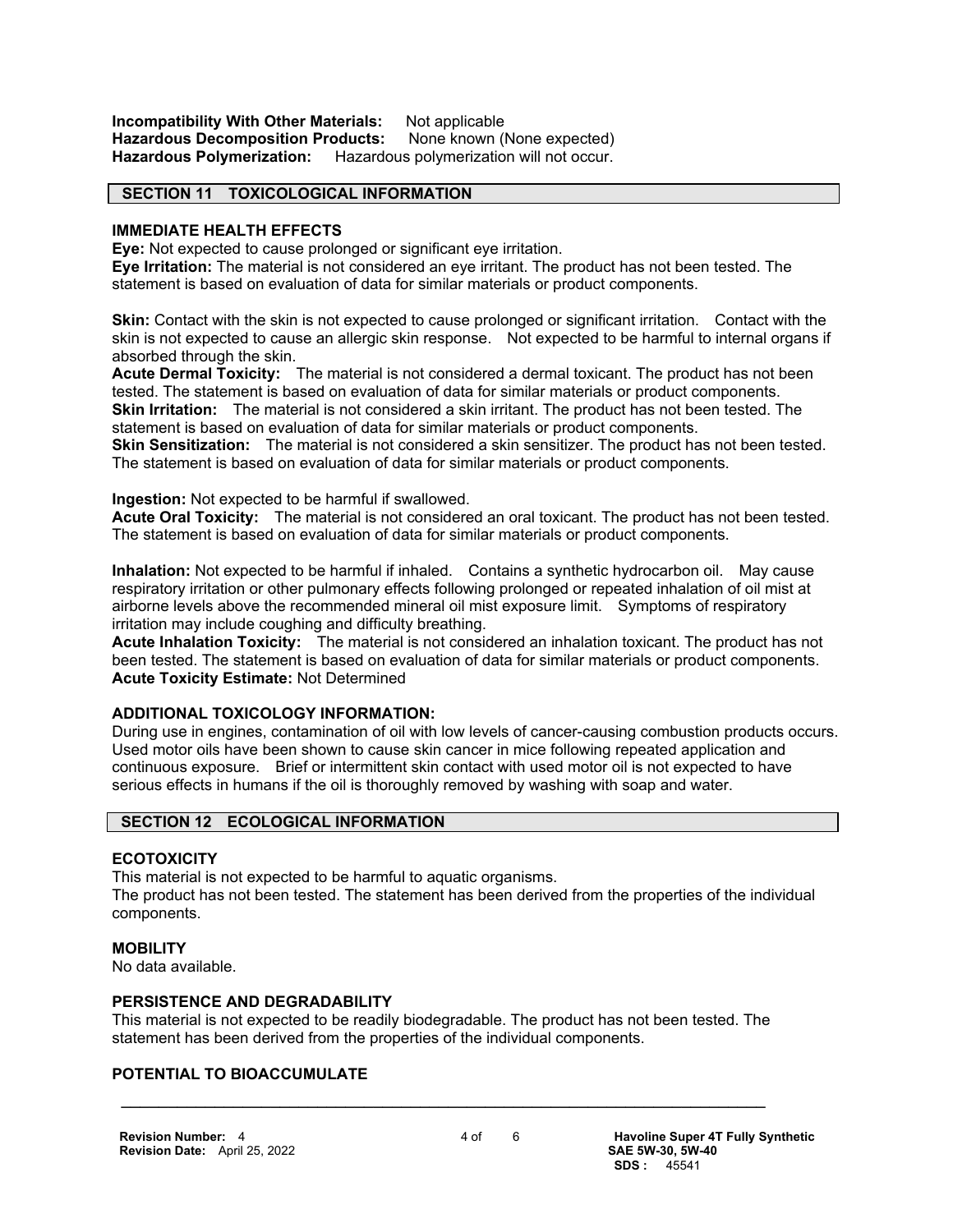**Incompatibility With Other Materials:** Not applicable **Hazardous Decomposition Products:** None known (None expected) **Hazardous Polymerization:** Hazardous polymerization will not occur.

#### **SECTION 11 TOXICOLOGICAL INFORMATION**

#### **IMMEDIATE HEALTH EFFECTS**

**Eye:** Not expected to cause prolonged or significant eye irritation.

**Eye Irritation:** The material is not considered an eye irritant. The product has not been tested. The statement is based on evaluation of data for similar materials or product components.

**Skin:** Contact with the skin is not expected to cause prolonged or significant irritation. Contact with the skin is not expected to cause an allergic skin response. Not expected to be harmful to internal organs if absorbed through the skin.

**Acute Dermal Toxicity:** The material is not considered a dermal toxicant. The product has not been tested. The statement is based on evaluation of data for similar materials or product components. **Skin Irritation:** The material is not considered a skin irritant. The product has not been tested. The statement is based on evaluation of data for similar materials or product components.

**Skin Sensitization:** The material is not considered a skin sensitizer. The product has not been tested. The statement is based on evaluation of data for similar materials or product components.

#### **Ingestion:** Not expected to be harmful if swallowed.

**Acute Oral Toxicity:** The material is not considered an oral toxicant. The product has not been tested. The statement is based on evaluation of data for similar materials or product components.

**Inhalation:** Not expected to be harmful if inhaled. Contains a synthetic hydrocarbon oil. May cause respiratory irritation or other pulmonary effects following prolonged or repeated inhalation of oil mist at airborne levels above the recommended mineral oil mist exposure limit. Symptoms of respiratory irritation may include coughing and difficulty breathing.

**Acute Inhalation Toxicity:** The material is not considered an inhalation toxicant. The product has not been tested. The statement is based on evaluation of data for similar materials or product components. **Acute Toxicity Estimate:** Not Determined

# **ADDITIONAL TOXICOLOGY INFORMATION:**

During use in engines, contamination of oil with low levels of cancer-causing combustion products occurs. Used motor oils have been shown to cause skin cancer in mice following repeated application and continuous exposure. Brief or intermittent skin contact with used motor oil is not expected to have serious effects in humans if the oil is thoroughly removed by washing with soap and water.

#### **SECTION 12 ECOLOGICAL INFORMATION**

#### **ECOTOXICITY**

This material is not expected to be harmful to aquatic organisms.

The product has not been tested. The statement has been derived from the properties of the individual components.

#### **MOBILITY**

No data available.

#### **PERSISTENCE AND DEGRADABILITY**

This material is not expected to be readily biodegradable. The product has not been tested. The statement has been derived from the properties of the individual components.

 $\mathcal{L} = \{ \mathcal{L} \mathcal{L} \mathcal{L} \mathcal{L} \mathcal{L} \mathcal{L} \mathcal{L} \mathcal{L} \mathcal{L} \mathcal{L} \mathcal{L} \mathcal{L} \mathcal{L} \mathcal{L} \mathcal{L} \mathcal{L} \mathcal{L} \mathcal{L} \mathcal{L} \mathcal{L} \mathcal{L} \mathcal{L} \mathcal{L} \mathcal{L} \mathcal{L} \mathcal{L} \mathcal{L} \mathcal{L} \mathcal{L} \mathcal{L} \mathcal{L} \mathcal{L} \mathcal{L} \mathcal{L} \mathcal{L} \$ 

# **POTENTIAL TO BIOACCUMULATE**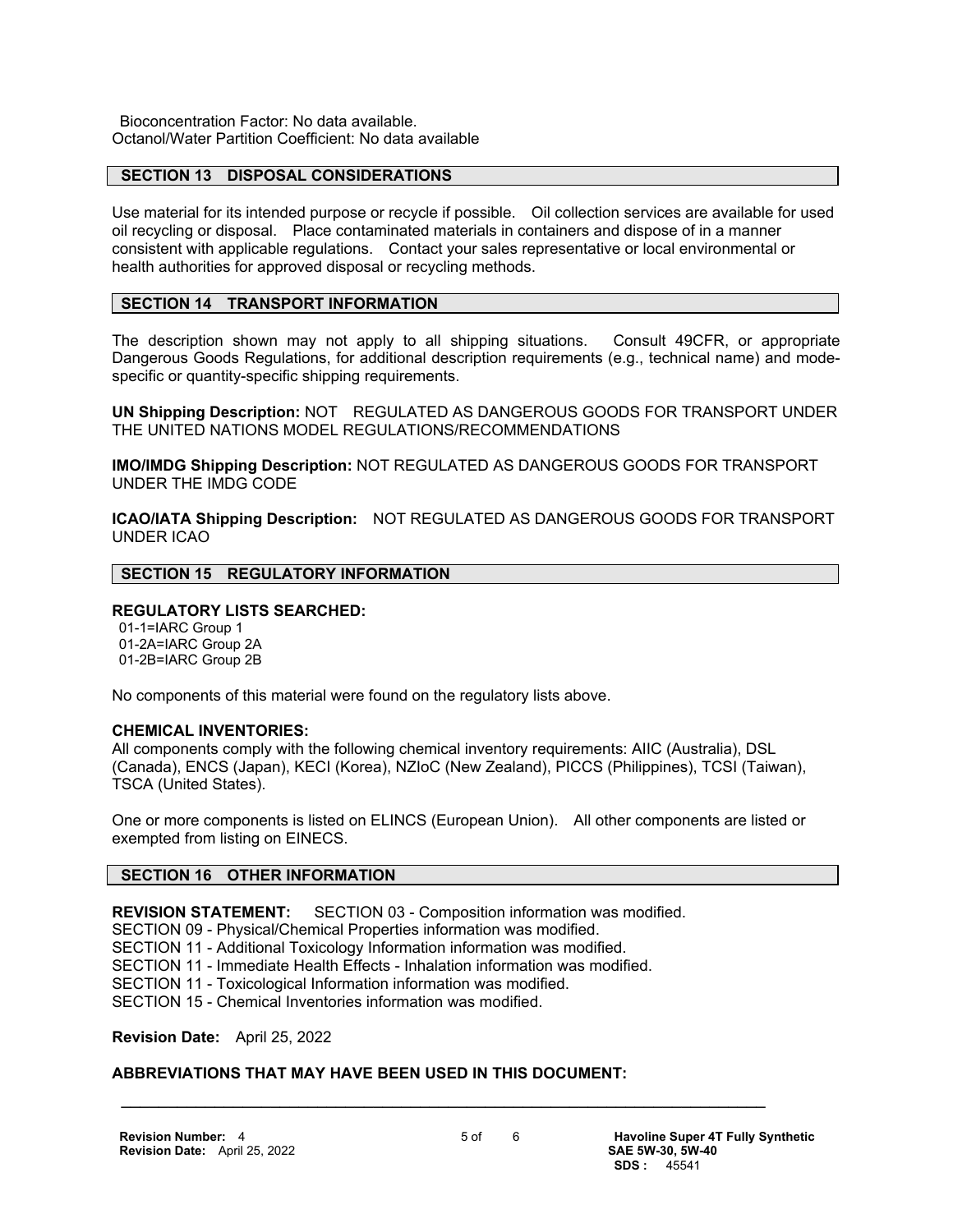Bioconcentration Factor: No data available. Octanol/Water Partition Coefficient: No data available

#### **SECTION 13 DISPOSAL CONSIDERATIONS**

Use material for its intended purpose or recycle if possible. Oil collection services are available for used oil recycling or disposal. Place contaminated materials in containers and dispose of in a manner consistent with applicable regulations. Contact your sales representative or local environmental or health authorities for approved disposal or recycling methods.

#### **SECTION 14 TRANSPORT INFORMATION**

The description shown may not apply to all shipping situations. Consult 49CFR, or appropriate Dangerous Goods Regulations, for additional description requirements (e.g., technical name) and modespecific or quantity-specific shipping requirements.

**UN Shipping Description:** NOT REGULATED AS DANGEROUS GOODS FOR TRANSPORT UNDER THE UNITED NATIONS MODEL REGULATIONS/RECOMMENDATIONS

**IMO/IMDG Shipping Description:** NOT REGULATED AS DANGEROUS GOODS FOR TRANSPORT UNDER THE IMDG CODE

**ICAO/IATA Shipping Description:** NOT REGULATED AS DANGEROUS GOODS FOR TRANSPORT UNDER ICAO

#### **SECTION 15 REGULATORY INFORMATION**

#### **REGULATORY LISTS SEARCHED:**

 01-1=IARC Group 1 01-2A=IARC Group 2A 01-2B=IARC Group 2B

No components of this material were found on the regulatory lists above.

#### **CHEMICAL INVENTORIES:**

All components comply with the following chemical inventory requirements: AIIC (Australia), DSL (Canada), ENCS (Japan), KECI (Korea), NZIoC (New Zealand), PICCS (Philippines), TCSI (Taiwan), TSCA (United States).

One or more components is listed on ELINCS (European Union). All other components are listed or exempted from listing on EINECS.

#### **SECTION 16 OTHER INFORMATION**

**REVISION STATEMENT:** SECTION 03 - Composition information was modified.

SECTION 09 - Physical/Chemical Properties information was modified.

SECTION 11 - Additional Toxicology Information information was modified.

SECTION 11 - Immediate Health Effects - Inhalation information was modified.

SECTION 11 - Toxicological Information information was modified.

SECTION 15 - Chemical Inventories information was modified.

**Revision Date:** April 25, 2022

# **ABBREVIATIONS THAT MAY HAVE BEEN USED IN THIS DOCUMENT:**